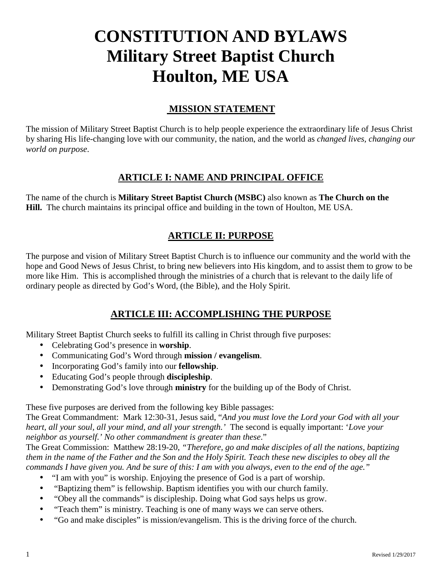# **CONSTITUTION AND BYLAWS Military Street Baptist Church Houlton, ME USA**

# **MISSION STATEMENT**

The mission of Military Street Baptist Church is to help people experience the extraordinary life of Jesus Christ by sharing His life-changing love with our community, the nation, and the world as *changed lives, changing our world on purpose*.

# **ARTICLE I: NAME AND PRINCIPAL OFFICE**

The name of the church is **Military Street Baptist Church (MSBC)** also known as **The Church on the Hill.** The church maintains its principal office and building in the town of Houlton, ME USA.

# **ARTICLE II: PURPOSE**

The purpose and vision of Military Street Baptist Church is to influence our community and the world with the hope and Good News of Jesus Christ, to bring new believers into His kingdom, and to assist them to grow to be more like Him. This is accomplished through the ministries of a church that is relevant to the daily life of ordinary people as directed by God's Word, (the Bible), and the Holy Spirit.

# **ARTICLE III: ACCOMPLISHING THE PURPOSE**

Military Street Baptist Church seeks to fulfill its calling in Christ through five purposes:

- Celebrating God's presence in **worship**.
- Communicating God's Word through **mission / evangelism**.
- Incorporating God's family into our **fellowship**.
- Educating God's people through **discipleship**.
- Demonstrating God's love through **ministry** for the building up of the Body of Christ.

These five purposes are derived from the following key Bible passages:

The Great Commandment: Mark 12:30-31, Jesus said, "*And you must love the Lord your God with all your heart, all your soul, all your mind, and all your strength.'* The second is equally important: '*Love your neighbor as yourself.' No other commandment is greater than these*."

The Great Commission: Matthew 28:19-20, *"Therefore, go and make disciples of all the nations, baptizing them in the name of the Father and the Son and the Holy Spirit. Teach these new disciples to obey all the commands I have given you. And be sure of this: I am with you always, even to the end of the age."*

- "I am with you" is worship. Enjoying the presence of God is a part of worship.
- "Baptizing them" is fellowship. Baptism identifies you with our church family.
- "Obey all the commands" is discipleship. Doing what God says helps us grow.
- "Teach them" is ministry. Teaching is one of many ways we can serve others.
- "Go and make disciples" is mission/evangelism. This is the driving force of the church.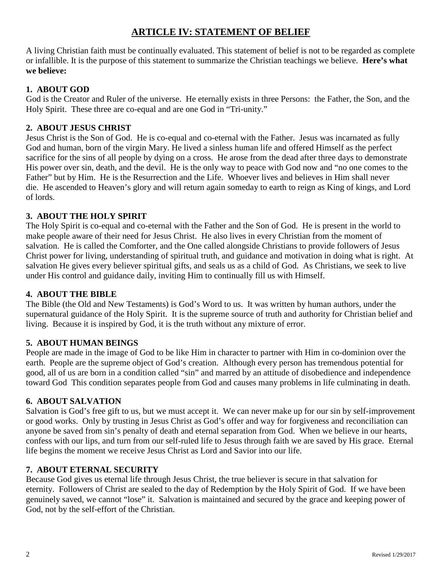# **ARTICLE IV: STATEMENT OF BELIEF**

A living Christian faith must be continually evaluated. This statement of belief is not to be regarded as complete or infallible. It is the purpose of this statement to summarize the Christian teachings we believe. **Here's what we believe:**

## **1. ABOUT GOD**

God is the Creator and Ruler of the universe. He eternally exists in three Persons: the Father, the Son, and the Holy Spirit. These three are co-equal and are one God in "Tri-unity."

## **2. ABOUT JESUS CHRIST**

Jesus Christ is the Son of God. He is co-equal and co-eternal with the Father. Jesus was incarnated as fully God and human, born of the virgin Mary. He lived a sinless human life and offered Himself as the perfect sacrifice for the sins of all people by dying on a cross. He arose from the dead after three days to demonstrate His power over sin, death, and the devil. He is the only way to peace with God now and "no one comes to the Father" but by Him. He is the Resurrection and the Life. Whoever lives and believes in Him shall never die. He ascended to Heaven's glory and will return again someday to earth to reign as King of kings, and Lord of lords.

## **3. ABOUT THE HOLY SPIRIT**

The Holy Spirit is co-equal and co-eternal with the Father and the Son of God. He is present in the world to make people aware of their need for Jesus Christ. He also lives in every Christian from the moment of salvation. He is called the Comforter, and the One called alongside Christians to provide followers of Jesus Christ power for living, understanding of spiritual truth, and guidance and motivation in doing what is right. At salvation He gives every believer spiritual gifts, and seals us as a child of God. As Christians, we seek to live under His control and guidance daily, inviting Him to continually fill us with Himself.

## **4. ABOUT THE BIBLE**

The Bible (the Old and New Testaments) is God's Word to us. It was written by human authors, under the supernatural guidance of the Holy Spirit. It is the supreme source of truth and authority for Christian belief and living. Because it is inspired by God, it is the truth without any mixture of error.

## **5. ABOUT HUMAN BEINGS**

People are made in the image of God to be like Him in character to partner with Him in co-dominion over the earth. People are the supreme object of God's creation. Although every person has tremendous potential for good, all of us are born in a condition called "sin" and marred by an attitude of disobedience and independence toward God This condition separates people from God and causes many problems in life culminating in death.

## **6. ABOUT SALVATION**

Salvation is God's free gift to us, but we must accept it. We can never make up for our sin by self-improvement or good works. Only by trusting in Jesus Christ as God's offer and way for forgiveness and reconciliation can anyone be saved from sin's penalty of death and eternal separation from God. When we believe in our hearts, confess with our lips, and turn from our self-ruled life to Jesus through faith we are saved by His grace. Eternal life begins the moment we receive Jesus Christ as Lord and Savior into our life.

## **7. ABOUT ETERNAL SECURITY**

Because God gives us eternal life through Jesus Christ, the true believer is secure in that salvation for eternity. Followers of Christ are sealed to the day of Redemption by the Holy Spirit of God. If we have been genuinely saved, we cannot "lose" it. Salvation is maintained and secured by the grace and keeping power of God, not by the self-effort of the Christian.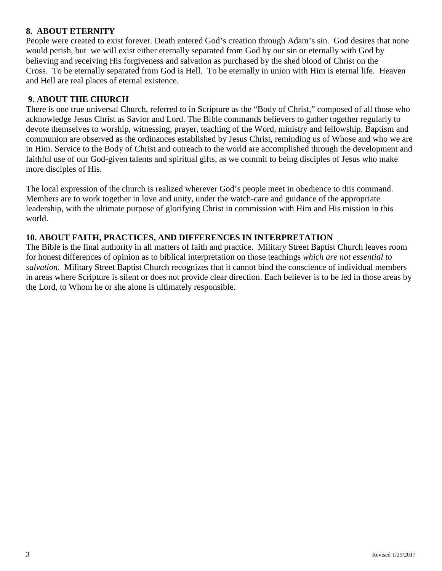## **8. ABOUT ETERNITY**

People were created to exist forever. Death entered God's creation through Adam's sin. God desires that none would perish, but we will exist either eternally separated from God by our sin or eternally with God by believing and receiving His forgiveness and salvation as purchased by the shed blood of Christ on the Cross. To be eternally separated from God is Hell. To be eternally in union with Him is eternal life. Heaven and Hell are real places of eternal existence.

## **9. ABOUT THE CHURCH**

There is one true universal Church, referred to in Scripture as the "Body of Christ," composed of all those who acknowledge Jesus Christ as Savior and Lord. The Bible commands believers to gather together regularly to devote themselves to worship, witnessing, prayer, teaching of the Word, ministry and fellowship. Baptism and communion are observed as the ordinances established by Jesus Christ, reminding us of Whose and who we are in Him. Service to the Body of Christ and outreach to the world are accomplished through the development and faithful use of our God-given talents and spiritual gifts, as we commit to being disciples of Jesus who make more disciples of His.

The local expression of the church is realized wherever God's people meet in obedience to this command. Members are to work together in love and unity, under the watch-care and guidance of the appropriate leadership, with the ultimate purpose of glorifying Christ in commission with Him and His mission in this world.

## **10. ABOUT FAITH, PRACTICES, AND DIFFERENCES IN INTERPRETATION**

The Bible is the final authority in all matters of faith and practice. Military Street Baptist Church leaves room for honest differences of opinion as to biblical interpretation on those teachings *which are not essential to salvation.* Military Street Baptist Church recognizes that it cannot bind the conscience of individual members in areas where Scripture is silent or does not provide clear direction. Each believer is to be led in those areas by the Lord, to Whom he or she alone is ultimately responsible.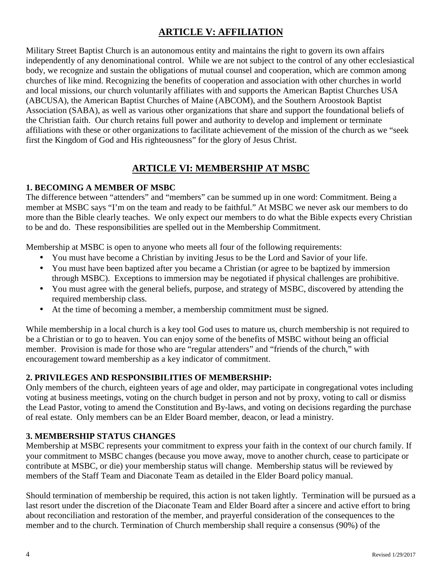# **ARTICLE V: AFFILIATION**

Military Street Baptist Church is an autonomous entity and maintains the right to govern its own affairs independently of any denominational control. While we are not subject to the control of any other ecclesiastical body, we recognize and sustain the obligations of mutual counsel and cooperation, which are common among churches of like mind. Recognizing the benefits of cooperation and association with other churches in world and local missions, our church voluntarily affiliates with and supports the American Baptist Churches USA (ABCUSA), the American Baptist Churches of Maine (ABCOM), and the Southern Aroostook Baptist Association (SABA), as well as various other organizations that share and support the foundational beliefs of the Christian faith. Our church retains full power and authority to develop and implement or terminate affiliations with these or other organizations to facilitate achievement of the mission of the church as we "seek first the Kingdom of God and His righteousness" for the glory of Jesus Christ.

# **ARTICLE VI: MEMBERSHIP AT MSBC**

## **1. BECOMING A MEMBER OF MSBC**

The difference between "attenders" and "members" can be summed up in one word: Commitment. Being a member at MSBC says "I'm on the team and ready to be faithful." At MSBC we never ask our members to do more than the Bible clearly teaches. We only expect our members to do what the Bible expects every Christian to be and do. These responsibilities are spelled out in the Membership Commitment.

Membership at MSBC is open to anyone who meets all four of the following requirements:

- You must have become a Christian by inviting Jesus to be the Lord and Savior of your life.
- You must have been baptized after you became a Christian (or agree to be baptized by immersion through MSBC). Exceptions to immersion may be negotiated if physical challenges are prohibitive.
- You must agree with the general beliefs, purpose, and strategy of MSBC, discovered by attending the required membership class.
- At the time of becoming a member, a membership commitment must be signed.

While membership in a local church is a key tool God uses to mature us, church membership is not required to be a Christian or to go to heaven. You can enjoy some of the benefits of MSBC without being an official member. Provision is made for those who are "regular attenders" and "friends of the church," with encouragement toward membership as a key indicator of commitment.

## **2. PRIVILEGES AND RESPONSIBILITIES OF MEMBERSHIP:**

Only members of the church, eighteen years of age and older, may participate in congregational votes including voting at business meetings, voting on the church budget in person and not by proxy, voting to call or dismiss the Lead Pastor, voting to amend the Constitution and By-laws, and voting on decisions regarding the purchase of real estate. Only members can be an Elder Board member, deacon, or lead a ministry.

## **3. MEMBERSHIP STATUS CHANGES**

Membership at MSBC represents your commitment to express your faith in the context of our church family. If your commitment to MSBC changes (because you move away, move to another church, cease to participate or contribute at MSBC, or die) your membership status will change. Membership status will be reviewed by members of the Staff Team and Diaconate Team as detailed in the Elder Board policy manual.

Should termination of membership be required, this action is not taken lightly. Termination will be pursued as a last resort under the discretion of the Diaconate Team and Elder Board after a sincere and active effort to bring about reconciliation and restoration of the member, and prayerful consideration of the consequences to the member and to the church. Termination of Church membership shall require a consensus (90%) of the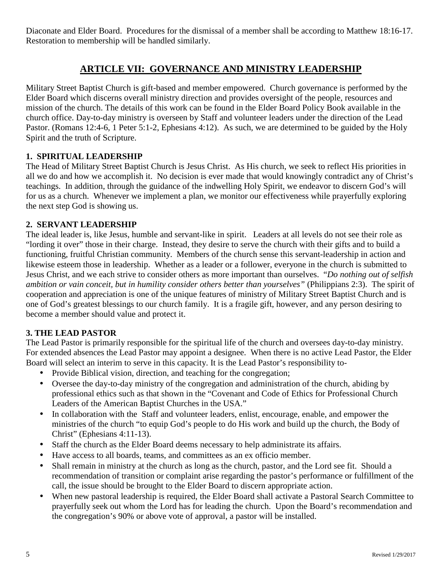Diaconate and Elder Board. Procedures for the dismissal of a member shall be according to Matthew 18:16-17. Restoration to membership will be handled similarly.

# **ARTICLE VII: GOVERNANCE AND MINISTRY LEADERSHIP**

Military Street Baptist Church is gift-based and member empowered. Church governance is performed by the Elder Board which discerns overall ministry direction and provides oversight of the people, resources and mission of the church. The details of this work can be found in the Elder Board Policy Book available in the church office. Day-to-day ministry is overseen by Staff and volunteer leaders under the direction of the Lead Pastor. (Romans 12:4-6, 1 Peter 5:1-2, Ephesians 4:12). As such, we are determined to be guided by the Holy Spirit and the truth of Scripture.

## **1. SPIRITUAL LEADERSHIP**

The Head of Military Street Baptist Church is Jesus Christ. As His church, we seek to reflect His priorities in all we do and how we accomplish it. No decision is ever made that would knowingly contradict any of Christ's teachings. In addition, through the guidance of the indwelling Holy Spirit, we endeavor to discern God's will for us as a church. Whenever we implement a plan, we monitor our effectiveness while prayerfully exploring the next step God is showing us.

## **2. SERVANT LEADERSHIP**

The ideal leader is, like Jesus, humble and servant-like in spirit. Leaders at all levels do not see their role as "lording it over" those in their charge. Instead, they desire to serve the church with their gifts and to build a functioning, fruitful Christian community. Members of the church sense this servant-leadership in action and likewise esteem those in leadership. Whether as a leader or a follower, everyone in the church is submitted to Jesus Christ, and we each strive to consider others as more important than ourselves. "*Do nothing out of selfish ambition or vain conceit, but in humility consider others better than yourselves"* (Philippians 2:3). The spirit of cooperation and appreciation is one of the unique features of ministry of Military Street Baptist Church and is one of God's greatest blessings to our church family. It is a fragile gift, however, and any person desiring to become a member should value and protect it.

## **3. THE LEAD PASTOR**

The Lead Pastor is primarily responsible for the spiritual life of the church and oversees day-to-day ministry. For extended absences the Lead Pastor may appoint a designee. When there is no active Lead Pastor, the Elder Board will select an interim to serve in this capacity. It is the Lead Pastor's responsibility to-

- Provide Biblical vision, direction, and teaching for the congregation;
- Oversee the day-to-day ministry of the congregation and administration of the church, abiding by professional ethics such as that shown in the "Covenant and Code of Ethics for Professional Church Leaders of the American Baptist Churches in the USA."
- In collaboration with the Staff and volunteer leaders, enlist, encourage, enable, and empower the ministries of the church "to equip God's people to do His work and build up the church, the Body of Christ" (Ephesians 4:11-13).
- Staff the church as the Elder Board deems necessary to help administrate its affairs.
- Have access to all boards, teams, and committees as an ex officio member.
- Shall remain in ministry at the church as long as the church, pastor, and the Lord see fit. Should a recommendation of transition or complaint arise regarding the pastor's performance or fulfillment of the call, the issue should be brought to the Elder Board to discern appropriate action.
- When new pastoral leadership is required, the Elder Board shall activate a Pastoral Search Committee to prayerfully seek out whom the Lord has for leading the church. Upon the Board's recommendation and the congregation's 90% or above vote of approval, a pastor will be installed.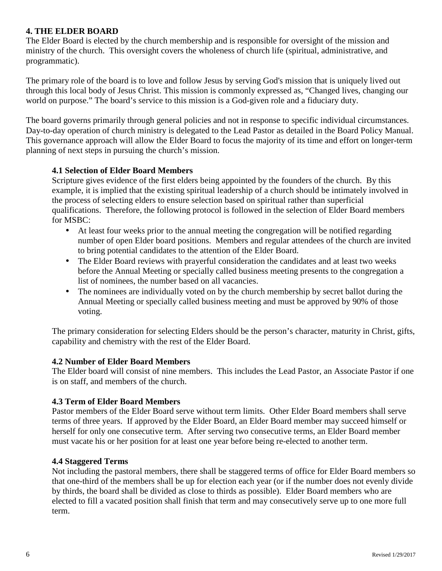## **4. THE ELDER BOARD**

The Elder Board is elected by the church membership and is responsible for oversight of the mission and ministry of the church. This oversight covers the wholeness of church life (spiritual, administrative, and programmatic).

The primary role of the board is to love and follow Jesus by serving God's mission that is uniquely lived out through this local body of Jesus Christ. This mission is commonly expressed as, "Changed lives, changing our world on purpose." The board's service to this mission is a God-given role and a fiduciary duty.

The board governs primarily through general policies and not in response to specific individual circumstances. Day-to-day operation of church ministry is delegated to the Lead Pastor as detailed in the Board Policy Manual. This governance approach will allow the Elder Board to focus the majority of its time and effort on longer-term planning of next steps in pursuing the church's mission.

## **4.1 Selection of Elder Board Members**

Scripture gives evidence of the first elders being appointed by the founders of the church. By this example, it is implied that the existing spiritual leadership of a church should be intimately involved in the process of selecting elders to ensure selection based on spiritual rather than superficial qualifications. Therefore, the following protocol is followed in the selection of Elder Board members for MSBC:

- At least four weeks prior to the annual meeting the congregation will be notified regarding number of open Elder board positions. Members and regular attendees of the church are invited to bring potential candidates to the attention of the Elder Board.
- The Elder Board reviews with prayerful consideration the candidates and at least two weeks before the Annual Meeting or specially called business meeting presents to the congregation a list of nominees, the number based on all vacancies.
- The nominees are individually voted on by the church membership by secret ballot during the Annual Meeting or specially called business meeting and must be approved by 90% of those voting.

The primary consideration for selecting Elders should be the person's character, maturity in Christ, gifts, capability and chemistry with the rest of the Elder Board.

#### **4.2 Number of Elder Board Members**

The Elder board will consist of nine members. This includes the Lead Pastor, an Associate Pastor if one is on staff, and members of the church.

#### **4.3 Term of Elder Board Members**

Pastor members of the Elder Board serve without term limits. Other Elder Board members shall serve terms of three years. If approved by the Elder Board, an Elder Board member may succeed himself or herself for only one consecutive term. After serving two consecutive terms, an Elder Board member must vacate his or her position for at least one year before being re-elected to another term.

#### **4.4 Staggered Terms**

Not including the pastoral members, there shall be staggered terms of office for Elder Board members so that one-third of the members shall be up for election each year (or if the number does not evenly divide by thirds, the board shall be divided as close to thirds as possible). Elder Board members who are elected to fill a vacated position shall finish that term and may consecutively serve up to one more full term.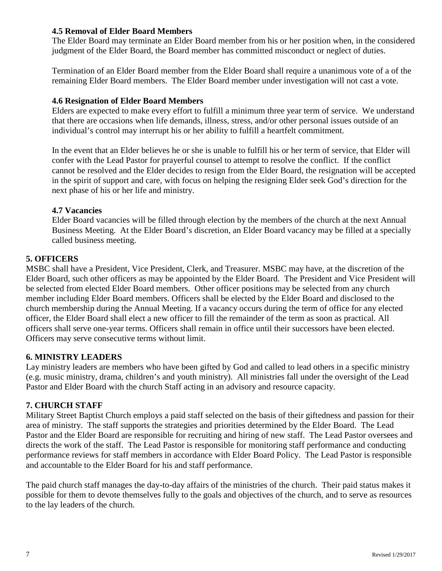## **4.5 Removal of Elder Board Members**

The Elder Board may terminate an Elder Board member from his or her position when, in the considered judgment of the Elder Board, the Board member has committed misconduct or neglect of duties.

Termination of an Elder Board member from the Elder Board shall require a unanimous vote of a of the remaining Elder Board members. The Elder Board member under investigation will not cast a vote.

#### **4.6 Resignation of Elder Board Members**

Elders are expected to make every effort to fulfill a minimum three year term of service. We understand that there are occasions when life demands, illness, stress, and/or other personal issues outside of an individual's control may interrupt his or her ability to fulfill a heartfelt commitment.

In the event that an Elder believes he or she is unable to fulfill his or her term of service, that Elder will confer with the Lead Pastor for prayerful counsel to attempt to resolve the conflict. If the conflict cannot be resolved and the Elder decides to resign from the Elder Board, the resignation will be accepted in the spirit of support and care, with focus on helping the resigning Elder seek God's direction for the next phase of his or her life and ministry.

## **4.7 Vacancies**

Elder Board vacancies will be filled through election by the members of the church at the next Annual Business Meeting. At the Elder Board's discretion, an Elder Board vacancy may be filled at a specially called business meeting.

## **5. OFFICERS**

MSBC shall have a President, Vice President, Clerk, and Treasurer. MSBC may have, at the discretion of the Elder Board, such other officers as may be appointed by the Elder Board. The President and Vice President will be selected from elected Elder Board members. Other officer positions may be selected from any church member including Elder Board members. Officers shall be elected by the Elder Board and disclosed to the church membership during the Annual Meeting. If a vacancy occurs during the term of office for any elected officer, the Elder Board shall elect a new officer to fill the remainder of the term as soon as practical. All officers shall serve one-year terms. Officers shall remain in office until their successors have been elected. Officers may serve consecutive terms without limit.

#### **6. MINISTRY LEADERS**

Lay ministry leaders are members who have been gifted by God and called to lead others in a specific ministry (e.g. music ministry, drama, children's and youth ministry). All ministries fall under the oversight of the Lead Pastor and Elder Board with the church Staff acting in an advisory and resource capacity.

## **7. CHURCH STAFF**

Military Street Baptist Church employs a paid staff selected on the basis of their giftedness and passion for their area of ministry. The staff supports the strategies and priorities determined by the Elder Board. The Lead Pastor and the Elder Board are responsible for recruiting and hiring of new staff. The Lead Pastor oversees and directs the work of the staff. The Lead Pastor is responsible for monitoring staff performance and conducting performance reviews for staff members in accordance with Elder Board Policy. The Lead Pastor is responsible and accountable to the Elder Board for his and staff performance.

The paid church staff manages the day-to-day affairs of the ministries of the church. Their paid status makes it possible for them to devote themselves fully to the goals and objectives of the church, and to serve as resources to the lay leaders of the church.